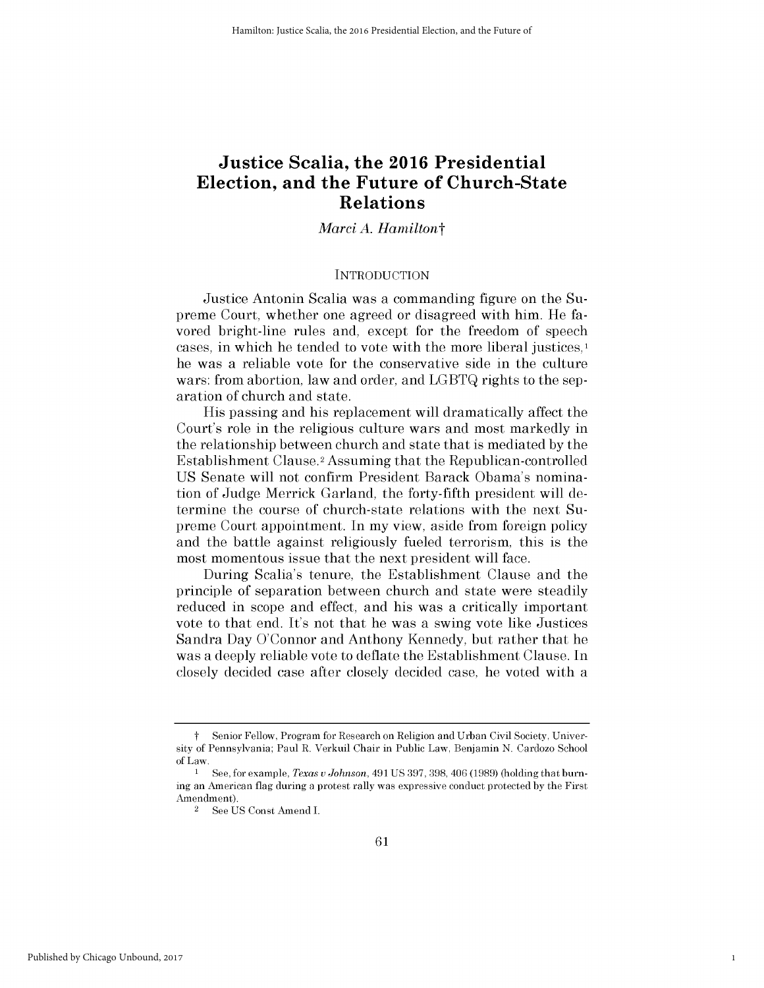# **Justice Scalia, the 2016 Presidential Election, and the Future of Church-State Relations**

# *Marci A. Hamiltont*

### **INTRODUCTION**

Justice Antonin Scalia was a commanding figure on the Supreme Court, whether one agreed or disagreed with him. He favored bright-line rules and, except for the freedom of speech cases, in which he tended to vote with the more liberal justices, he was a reliable vote for the conservative side in the culture wars: from abortion, law and order, and **LGBTQ** rights to the separation of church and state.

His passing and his replacement will dramatically affect the Court's role in the religious culture wars and most markedly in the relationship between church and state that is mediated **by** the Establishment Clause.2 Assuming that the Republican-controlled **US** Senate will not confirm President Barack Obama's nomination of Judge Merrick Garland, the forty-fifth president will determine the course of church-state relations with the next Supreme Court appointment. In my view, aside from foreign policy and the battle against religiously fueled terrorism, this is the most momentous issue that the next president will face.

During Scalia's tenure, the Establishment Clause and the principle of separation between church and state were steadily reduced in scope and effect, and his was a critically important vote to that end. It's not that he was a swing vote like Justices Sandra Day O'Connor and Anthony Kennedy, but rather that he was a deeply reliable vote to deflate the Establishment Clause. In closely decided case after closely decided case, he voted with a

1

t Senior Fellow, Program for Research on Religion and Urban Civil Society, University of Pennsylvania; Paul R. Verkuil Chair in Public Law, Benjamin **N.** Cardozo School of Law.

**I See,** for example, *Texas u Johnson,* 491 **US 397, 398,** 406 **(1989)** (holding that burning an American flag during a protest rally was expressive conduct protected **by** the First Amendment).

<sup>2</sup>**See US** Const Amend I.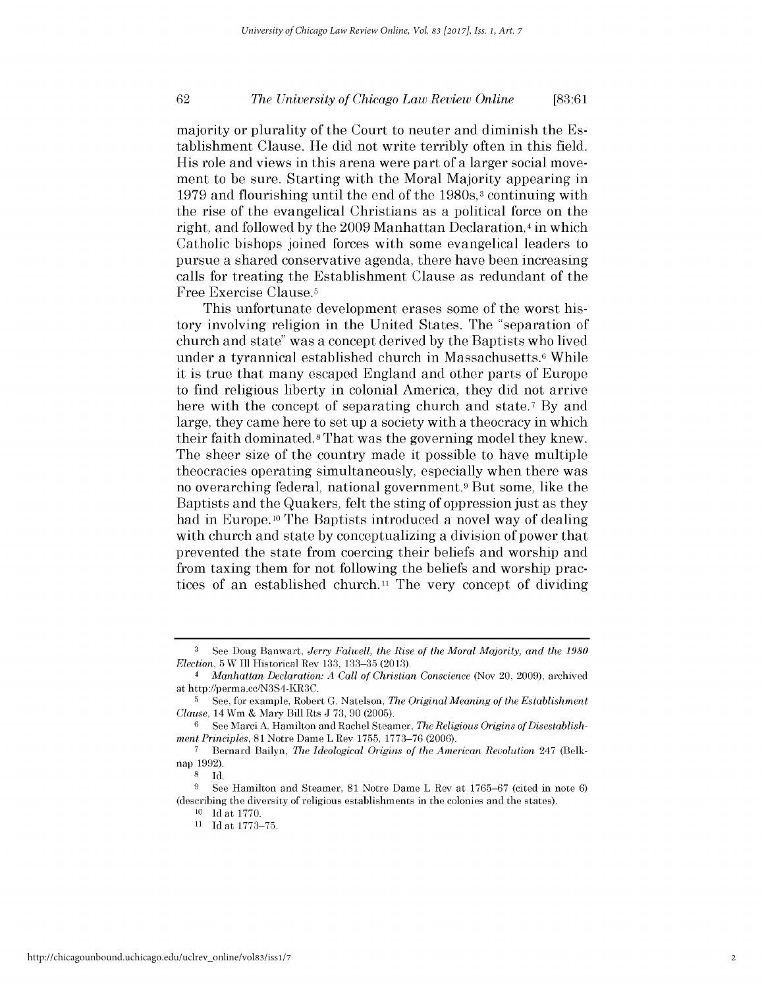# *The University of Chicago Law Review Online* **62 [83:61**

majority or plurality of the Court to neuter and diminish the Establishment Clause. He **did** not write terribly often in this field. His role and views in this arena were part of a larger social movement to be sure. Starting with the Moral Majority appearing in **1979** and flourishing until the end of the 1980s,3 continuing with the rise of the evangelical Christians as a political force on the right, and followed **by** the **2009** Manhattan Declaration,4 in which Catholic bishops joined forces with some evangelical leaders to pursue a shared conservative agenda, there have been increasing calls for treating the Establishment Clause as redundant of the Free Exercise Clause.5

This unfortunate development erases some of the worst history involving religion in the United States. The "separation of church and state" was a concept derived **by** the Baptists who lived under a tyrannical established church in Massachusetts.<sup>6</sup> While it is true that many escaped England and other parts of Europe to find religious liberty in colonial America, they **did** not arrive here with the concept of separating church and state.<sup>7</sup> By and large, they came here to set up a society with a theocracy in which their faith dominated.8 That was the governing model they knew. The sheer size of the country made it possible to have multiple theocracies operating simultaneously, especially when there was no overarching federal, national government.9 But some, like the Baptists and the Quakers, felt the sting of oppression just as they had in Europe. **10** The Baptists introduced a novel way of dealing with church and state **by** conceptualizing a division of power that prevented the state from coercing their beliefs and worship and from taxing them for not following the beliefs and worship practices of an established church.<sup>11</sup> The very concept of dividing

**<sup>3</sup>**See Doug Banwart, *Jerry Falwell, the Rise of the Moral Majority, and the 1980 Election,* **5** W **Ill** Historical Rev **133, 133-35 (2013).**

*<sup>4</sup>Manhattan Declaration: A Call of Christian Conscience* (Nov 20, **2009),** archived at http://perma.cc/N3S4-KR3C.

**<sup>5</sup>**See, for example, Robert **G.** Natelson, *The Original Meaning of the Establishment Clause,* 14 Wm **&** Mary Bill Rts **J 73, 90 (2005).**

**<sup>6</sup> See** Marci **A.** Hamilton and Rachel Steamer, *The Religious Origins of Disestablishment Principles,* **81** Notre Dame L Rev **1755, 1773-76** (2006).

**<sup>7</sup>** Bernard Bailyn, *The Ideological Origins of the American Revolution* 247 **(Belk**nap **1992).**

**<sup>8</sup>Id.**

**<sup>9</sup>**See Hamilton and Steamer, **81** Notre Dame L Rev at **1765-67** (cited in note **6)** (describing the diversity of religious establishments in the colonies and the states).

**<sup>10</sup> Id** at **1770.**

**<sup>11</sup> Id** at **1773-75.**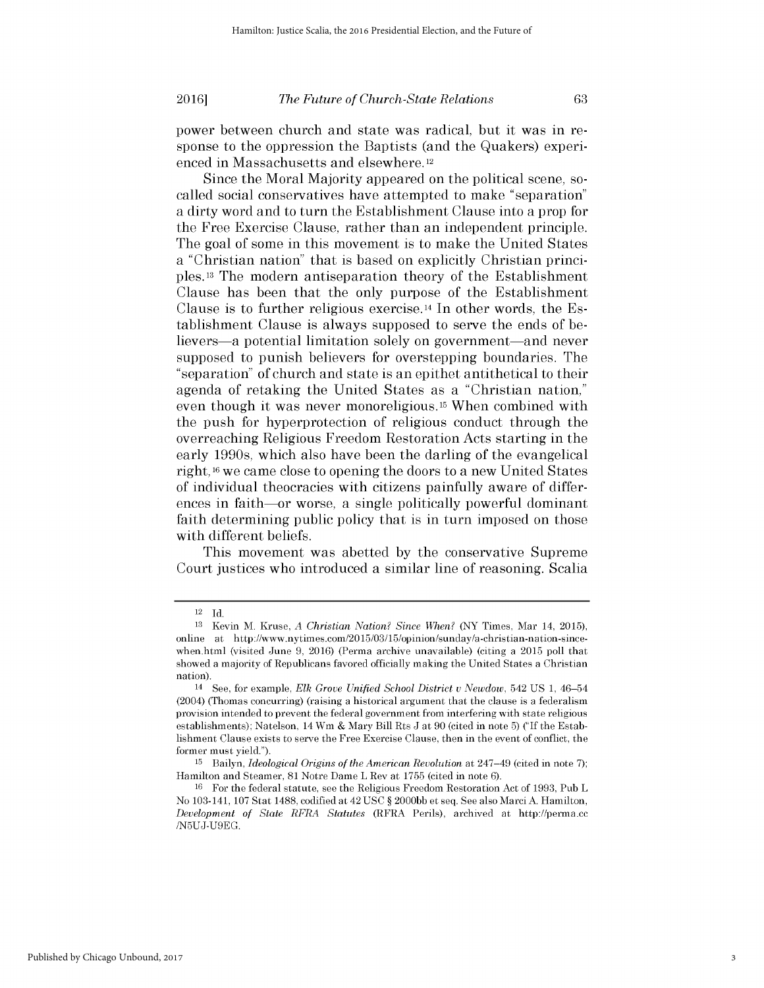power between church and state was radical, but it was in response to the oppression the Baptists (and the Quakers) experienced in Massachusetts and elsewhere. <sup>12</sup>

Since the Moral Majority appeared on the political scene, socalled social conservatives have attempted to make "separation" a dirty word and to turn the Establishment Clause into a prop for the Free Exercise Clause, rather than an independent principle. The goal of some in this movement is to make the United States a "Christian nation" that is based on explicitly Christian principles.13 The modern antiseparation theory of the Establishment Clause has been that the only purpose of the Establishment Clause is to further religious exercise.14 In other words, the Establishment Clause is always supposed to serve the ends of believers—a potential limitation solely on government—and never supposed to punish believers for overstepping boundaries. The "separation" of church and state is an epithet antithetical to their agenda of retaking the United States as a "Christian nation," even though it was never monoreligious.15 When combined with the push for hyperprotection of religious conduct through the overreaching Religious Freedom Restoration Acts starting in the early 1990s, which also have been the darling of the evangelical right, **16** we came close to opening the doors to a new United States of individual theocracies with citizens painfully aware of differences in faith—or worse, a single politically powerful dominant faith determining public policy that is in turn imposed on those with different beliefs.

This movement was abetted **by** the conservative Supreme Court justices who introduced a similar line of reasoning. Scalia

<sup>12</sup>**Id.**

**<sup>13</sup>**Kevin M. Kruse, *A Christian Nation? Since When?* (NY Times, Mar 14, **2015),** online at http://www.nytimes.com/2015/03/15/opinion/sunday/a-christian-nation-sincewhen.html (visited June **9,** 2016) (Perma archive unavailable) (citing a **2015** poll that showed a majority of Republicans favored officially making the United States a Christian nation).

<sup>14</sup>See, for example, *Elk Grove Unified School District v Newdow,* 542 **US 1,** 46-54 (2004) (Thomas concurring) (raising a historical argument that the clause is a federalism provision intended to prevent the federal government from interfering with state religious establishments); Natelson, 14 Wm **&** Mary Bill Rts **J** at **90** (cited in note **5) ("If** the Establishment Clause exists to serve the Free Exercise Clause, then in the event of conflict, the former must yield.").

**<sup>15</sup>**Bailyn, *Ideological Origins of the American Revolution* at 247-49 (cited in note **7);** Hamilton and Steamer, **81** Notre Dame L Rev at **1755** (cited in note **6).**

**<sup>16</sup>**For the federal statute, see the Religious Freedom Restoration Act of **1993,** Pub L No 103-141, **107** Stat **1488,** codified at 42 **USC** *§* **2000bb** et seq. **See** also Marci **A.** Hamilton, *Development of State RFRA Statutes* (RFRA Perils), archived at http://perma.ce **/N5UJ-U9EG.**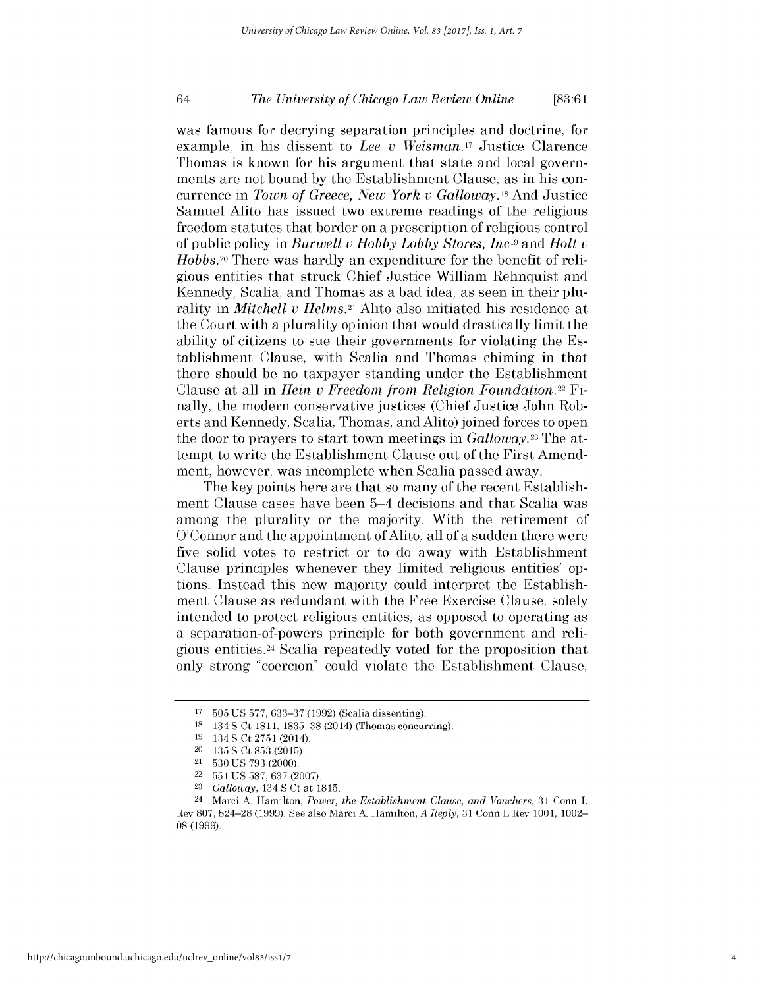# *The University of Chicago Law Review Online* 64 **[83:61**

was famous for decrying separation principles and doctrine, for example, in his dissent to *Lee v Weisman.17* Justice Clarence Thomas is known for his argument that state and local governments are not bound **by** the Establishment Clause, as in his concurrence in *Town of Greece, New York v Galloway.18* And Justice Samuel Alito has issued two extreme readings of the religious freedom statutes that border on a prescription of religious control of public policy in *Burwell v Hobby Lobby Stores, Inc19* and *Holt <sup>v</sup> Hobbs.20* There was hardly an expenditure for the benefit of religious entities that struck Chief Justice William Rehnquist and Kennedy, Scalia, and Thomas as a bad idea, as seen in their plurality in *Mitchell v Helms.21* Alito also initiated his residence at the Court with a plurality opinion that would drastically limit the ability of citizens to sue their governments for violating the Establishment Clause, with Scalia and Thomas chiming in that there should be no taxpayer standing under the Establishment Clause at all in *Hein v Freedom from Religion Foundation.22* Finally, the modern conservative justices (Chief Justice John Roberts and Kennedy, Scalia, Thomas, and Alito) joined forces to open the door to prayers to start town meetings in *Galloway.23* The attempt to write the Establishment Clause out of the First Amendment, however, was incomplete when Scalia passed away.

The key points here are that so many of the recent Establishment Clause cases have been 5-4 decisions and that Scalia was among the plurality or the majority. With the retirement of O'Connor and the appointment of Alito, all of a sudden there were five solid votes to restrict or to do away with Establishment Clause principles whenever they limited religious entities' **op**tions. Instead this new majority could interpret the Establishment Clause as redundant with the Free Exercise Clause, solely intended to protect religious entities, as opposed to operating as a separation-of-powers principle for both government and religious entities.24 Scalia repeatedly voted for the proposition that only strong "coercion" could violate the Establishment Clause,

**<sup>17</sup>505 US 577, 633-37 (1992)** (Scalia dissenting).

**<sup>18</sup>**134 **S** Ct **1811, 1835-38** (2014) (Thomas concurring).

**<sup>19</sup>**134 **S** Ct **2751** (2014).

<sup>20</sup>**135 S** Ct **853 (2015).**

<sup>21</sup>**530 US 793** (2000).

<sup>22</sup>**551 US 587,** 637 **(2007).**

**<sup>23</sup>***Galloway,* 134 **S** Ct at **1815.**

<sup>24</sup>Marci **A.** Hamilton, *Power, the Establishment Clause, and Vouchers,* **31** Conn L Rev **807, 824-28 (1999). See** also Marci **A.** Hamilton, *A Reply,* **31** Conn L Rev **1001,** 1002- **08 (1999).**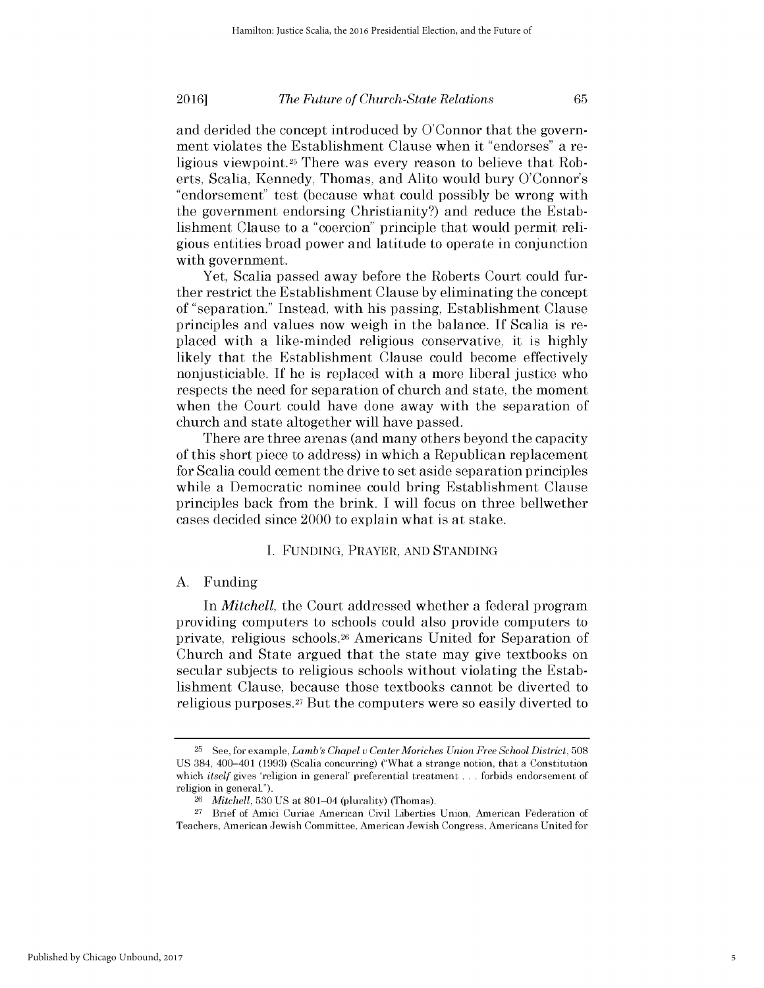and derided the concept introduced **by** O'Connor that the government violates the Establishment Clause when it "endorses" a religious viewpoint.25 There was every reason to believe that Roberts, Scalia, Kennedy, Thomas, and Alito would bury O'Connor's "endorsement" test (because what could possibly be wrong with the government endorsing Christianity?) and reduce the Establishment Clause to a "coercion" principle that would permit religious entities broad power and latitude to operate in conjunction with government.

Yet, Scalia passed away before the Roberts Court could further restrict the Establishment Clause **by** eliminating the concept of "separation." Instead, with his passing, Establishment Clause principles and values now weigh in the balance. **If** Scalia is replaced with a like-minded religious conservative, it is **highly** likely that the Establishment Clause could become effectively nonjusticiable. **If** he is replaced with a more liberal justice who respects the need for separation of church and state, the moment when the Court could have done away with the separation of church and state altogether will have passed.

There are three arenas (and many others beyond the capacity of this short piece to address) in which a Republican replacement for Scalia could cement the drive to set aside separation principles while a Democratic nominee could bring Establishment Clause principles back from the brink. **I** will focus on three bellwether cases decided since 2000 to explain what is at stake.

#### **I. FUNDING,** PRAYER, **AND STANDING**

#### **A.** Funding

*In Mitchell,* the Court addressed whether a federal program providing computers to schools could also provide computers to private, religious schools.26 Americans United for Separation of Church and State argued that the state may give textbooks on secular subjects to religious schools without violating the Establishment Clause, because those textbooks cannot be diverted to religious purposes.<sup>27</sup> But the computers were so easily diverted to

**<sup>25</sup>**See, for example, *Lamb's Chapel u CenterMoriches Union Free School District, 508* **US** 384, 400-401 **(1993)** (Scalia concurring) ("What a strange notion, that a Constitution which *itself* gives 'religion in general' preferential treatment . . . forbids endorsement of religion in general.").

*<sup>26</sup>Mitchell,* **530 US** at 801-04 (plurality) (Thomas).

**<sup>27</sup>**Brief of Amici Curiae American Civil Liberties Union, American Federation of Teachers, American Jewish Committee, American Jewish Congress, Americans United for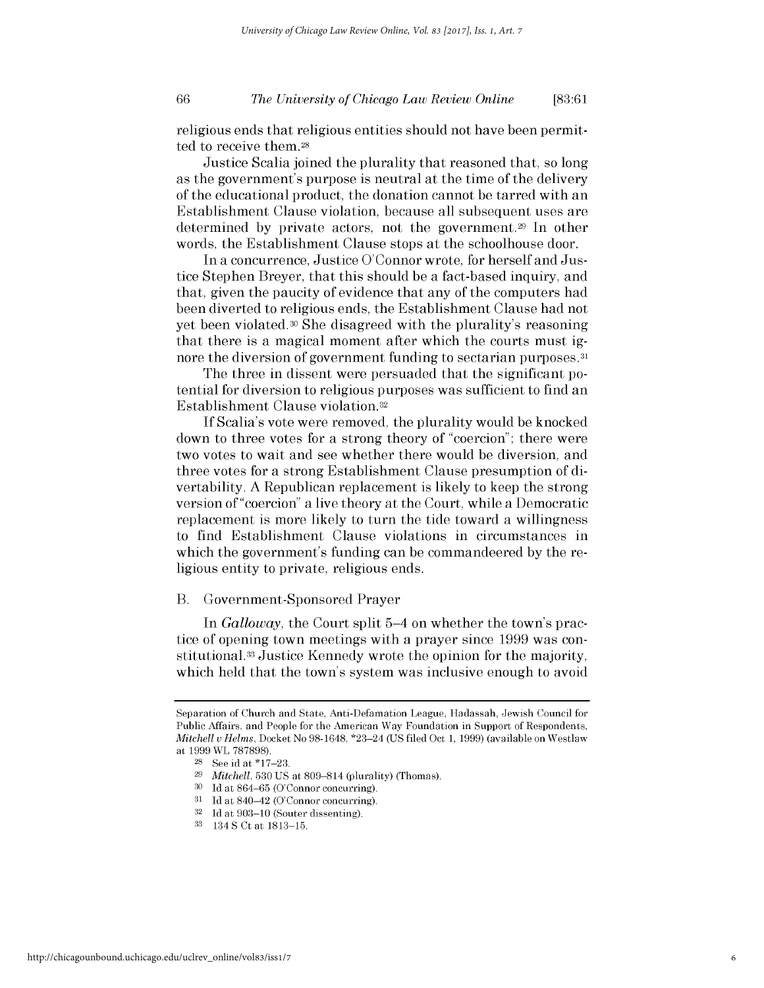# *The University of Chicago Law Review Online* **66 [83:61**

religious ends that religious entities should not have been permitted to receive them.28

Justice Scalia joined the plurality that reasoned that, so long as the government's purpose is neutral at the time of the delivery of the educational product, the donation cannot be tarred with an Establishment Clause violation, because all subsequent uses are determined by private actors, not the government.<sup>29</sup> In other words, the Establishment Clause stops at the schoolhouse door.

In a concurrence, Justice O'Connor wrote, for herself and Justice Stephen Breyer, that this should be a fact-based inquiry, and that, given the paucity of evidence that any of the computers had been diverted to religious ends, the Establishment Clause had not yet been violated.30 She disagreed with the plurality's reasoning that there is a magical moment after which the courts must **ig**nore the diversion of government funding to sectarian purposes.<sup>31</sup>

The three in dissent were persuaded that the significant potential for diversion to religious purposes was sufficient to find an Establishment Clause violation.32

**If** Scalia's vote were removed, the plurality would be knocked down to three votes for a strong theory of "coercion"; there were two votes to wait and see whether there would be diversion, and three votes for a strong Establishment Clause presumption of **di**vertability. **A** Republican replacement is likely to keep the strong version of "coercion" a live theory at the Court, while a Democratic replacement is more likely to turn the tide toward a willingness to find Establishment Clause violations in circumstances in which the government's funding can be commandeered **by** the religious entity to private, religious ends.

#### B. Government-Sponsored Prayer

In *Galloway*, the Court split 5–4 on whether the town's practice of opening town meetings with a prayer since **1999** was constitutional.33 Justice Kennedy wrote the opinion for the majority, which held that the town's system was inclusive enough to avoid

Separation of Church and State, Anti-Defamation League, Hadassah, Jewish Council for Public Affairs, and People for the American Way Foundation in Support of Respondents, *Mitchell u Helms,* Docket No **98-1648,** \*23-24 **(US filed** Oct **1, 1999)** (available on Westlaw at **1999** WL **787898).**

**<sup>28</sup>**See id at **\*17-23.**

**<sup>29</sup>***Mitchell,* **530 US** at **809-814** (plurality) (Thomas).

**<sup>30</sup> Id** at 864-65 (O'Connor concurring).

<sup>&</sup>lt;sup>31</sup> Id at 840–42 (O'Connor concurring).<br><sup>32</sup> Id at 903–10 (Souter dissenting).

**<sup>32</sup>Id** at **903-10** (Souter dissenting).

**<sup>33</sup>**134 **S** Ct at **1813-15.**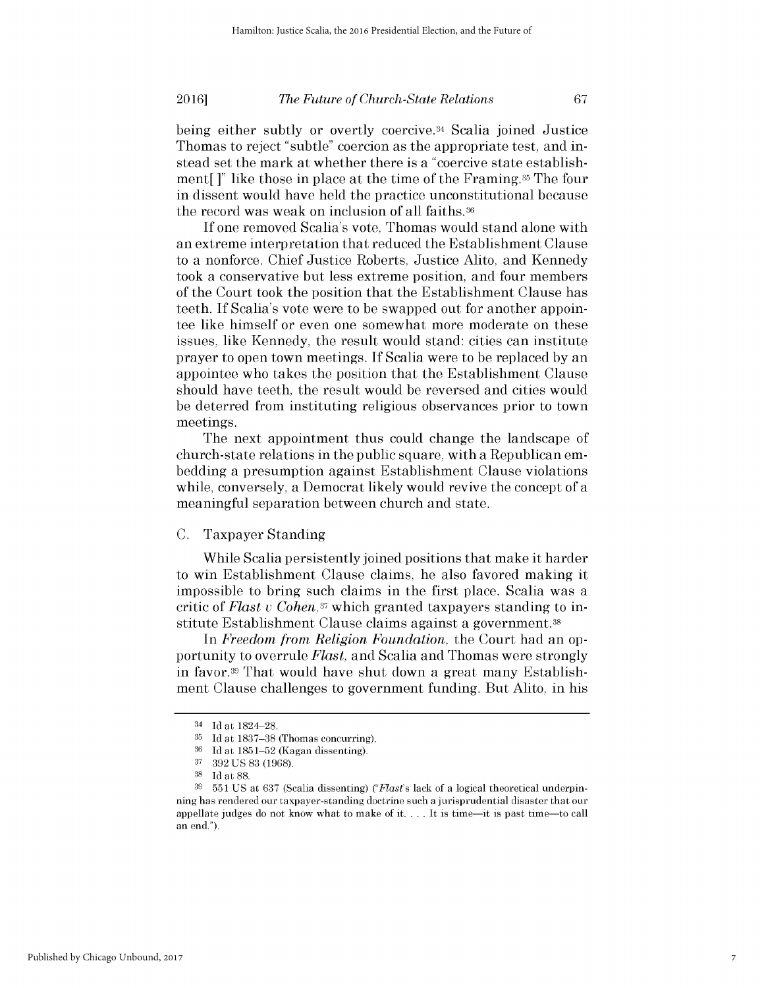being either subtly or overtly coercive.34 Scalia joined Justice Thomas to reject "subtle" coercion as the appropriate test, and instead set the mark at whether there is a "coercive state establishment[ **]"** like those in place at the time of the Framing.35 The four in dissent would have held the practice unconstitutional because the record was weak on inclusion of all faiths.36

**If** one removed Scalia's vote, Thomas would stand alone with an extreme interpretation that reduced the Establishment Clause to a nonforce. Chief Justice Roberts, Justice Alito, and Kennedy took a conservative but less extreme position, and four members of the Court took the position that the Establishment Clause has teeth. **If** Scalia's vote were to be swapped out for another appointee like himself or even one somewhat more moderate on these issues, like Kennedy, the result would stand: cities can institute prayer to open town meetings. **If** Scalia were to be replaced **by** an appointee who takes the position that the Establishment Clause should have teeth, the result would be reversed and cities would be deterred from instituting religious observances prior to town meetings.

The next appointment thus could change the landscape of church-state relations in the public square, with a Republican embedding a presumption against Establishment Clause violations while, conversely, a Democrat likely would revive the concept of a meaningful separation between church and state.

### **C.** Taxpayer Standing

While Scalia persistently joined positions that make it harder to win Establishment Clause claims, he also favored making it impossible to bring such claims in the first place. Scalia was a critic of *Flast v Cohen,37* which granted taxpayers standing to institute Establishment Clause claims against a government. <sup>38</sup>

*In Freedom from Religion Foundation,* the Court had an opportunity to overrule *Flast,* and Scalia and Thomas were strongly in favor.39 That would have shut down a great many Establishment Clause challenges to government funding. But Alito, in his

<sup>34</sup>**Id** at **1824-28.**

**<sup>35</sup>Id** at **1837-38** (Thomas concurring).

**<sup>36</sup>Id** at **1851-52** (Kagan dissenting).

**<sup>37</sup>392 US 83 (1968).**

**<sup>38</sup>Id** at **88.**

**<sup>39 551</sup> US** at **637** (Scalia dissenting) *("Flast's* lack of a logical theoretical underpinning has rendered our taxpayer-standing doctrine such a jurisprudential disaster that our appellate judges do not know what to make of **it.** . . **.** It is time-it is past time-to call an end.").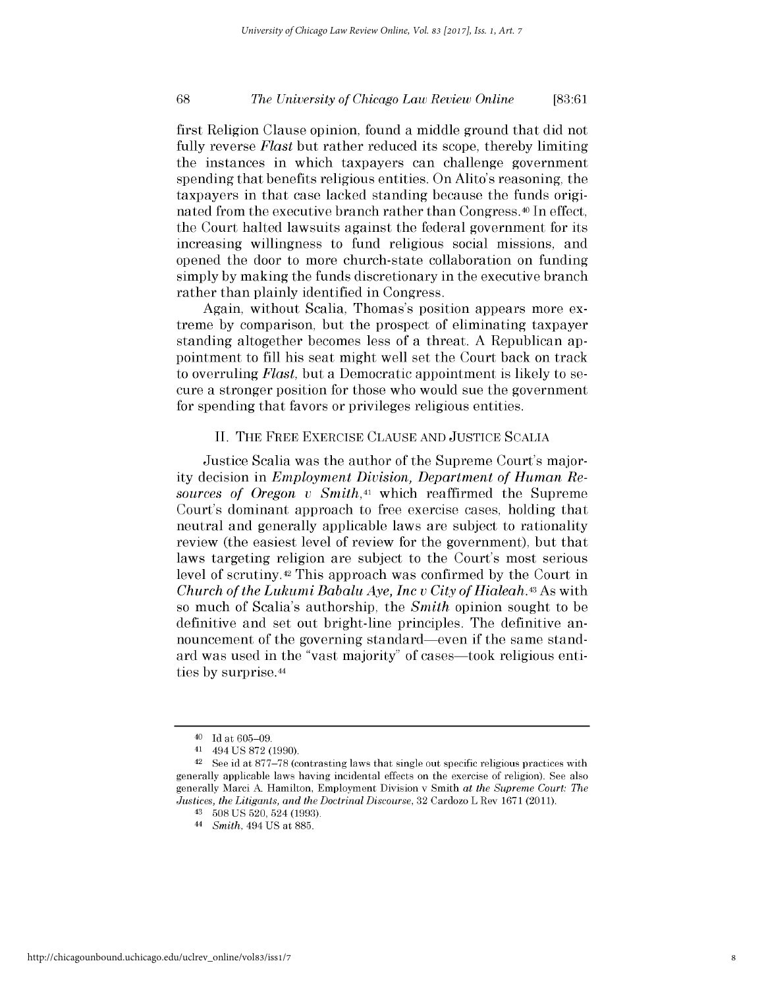# *The University of Chicago Law Review Online* **68 [83:61**

first Religion Clause opinion, found a middle ground that **did** not fully reverse *Flast* but rather reduced its scope, thereby limiting the instances in which taxpayers can challenge government spending that benefits religious entities. On Alito's reasoning, the taxpayers in that case lacked standing because the funds originated from the executive branch rather than Congress.40 In effect, the Court halted lawsuits against the federal government for its increasing willingness to fund religious social missions, and opened the door to more church-state collaboration on funding simply **by** making the funds discretionary in the executive branch rather than plainly identified in Congress.

Again, without Scalia, Thomas's position appears more extreme **by** comparison, but the prospect of eliminating taxpayer standing altogether becomes less of a threat. **A** Republican appointment to **fill** his seat might well set the Court back on track to overruling *Flast,* but a Democratic appointment is likely to secure a stronger position for those who would sue the government for spending that favors or privileges religious entities.

#### **II.** THE FREE EXERCISE **CLAUSE AND JUSTICE SCALIA**

Justice Scalia was the author of the Supreme Court's majority decision in *Employment Division, Department of Human Resources of Oregon v Smith,41* which reaffirmed the Supreme Court's dominant approach to free exercise cases, holding that neutral and generally applicable laws are subject to rationality review (the easiest level of review for the government), but that laws targeting religion are subject to the Court's most serious level of scrutiny.42 This approach was confirmed **by** the Court in *Church of the Lukumi Babalu Aye, Inc v City of Hialeah.43* As with so much of Scalia's authorship, the *Smith* opinion sought to be definitive and set out bright-line principles. The definitive announcement of the governing standard-even **if** the same standard was used in the "vast majority" of cases—took religious entities **by** surprise.44

**<sup>40</sup>Id** at **605-09.**

**<sup>41</sup>**494 **US 872 (1990).**

**<sup>42</sup>**See id at **877-78** (contrasting laws that single out specific religious practices with generally applicable laws having incidental effects on the exercise of religion). **See** also generally Marci **A.** Hamilton, Employment Division v Smith *at the Supreme Court: The Justices, the Litigants, and the Doctrinal Discourse,* **32** Cardozo L Rev **1671 (2011).**

**<sup>43</sup>508 US 520,** 524 **(1993).**

<sup>44</sup>*Smith,* 494 **US** at **885.**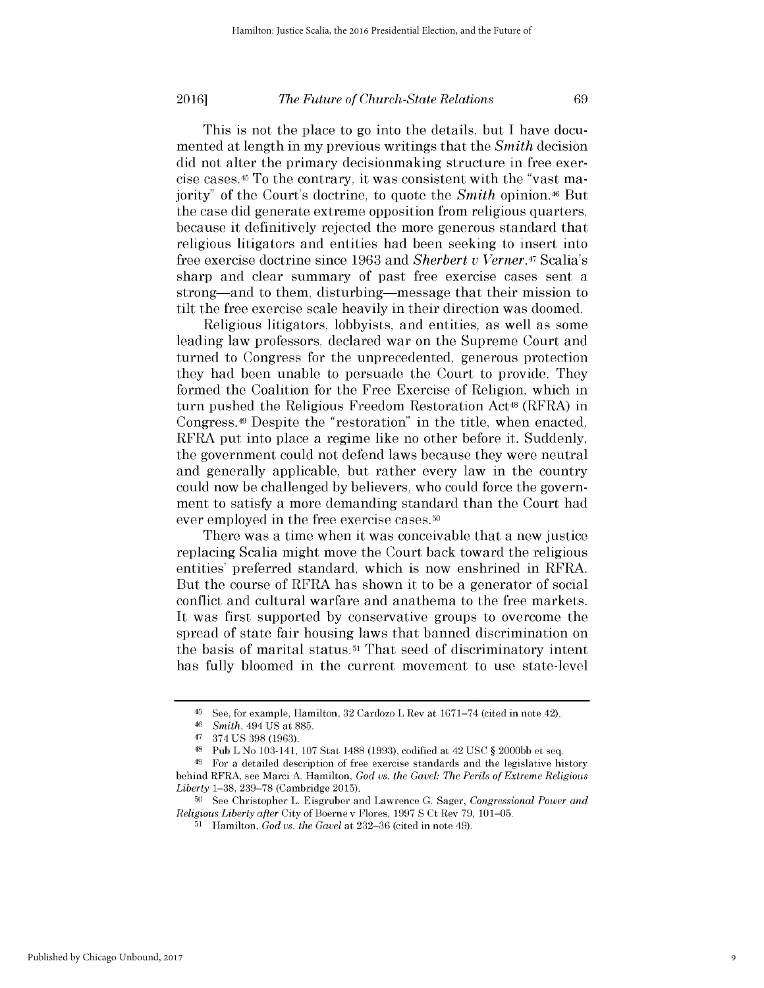This is not the place to go into the details, but **I** have documented at length in my previous writings that the *Smith* decision **did** not alter the primary decisionmaking structure in free exercise cases.45 To the contrary, it was consistent with the "vast majority" of the Court's doctrine, to quote the *Smith* opinion.46 But the case **did** generate extreme opposition from religious quarters, because it definitively rejected the more generous standard that religious litigators and entities had been seeking to insert into free exercise doctrine since **1963** and *Sherbert v Verner.47* Scalia's sharp and clear summary of past free exercise cases sent a strong—and to them, disturbing—message that their mission to tilt the free exercise scale heavily in their direction was doomed.

Religious litigators, lobbyists, and entities, as well as some leading law professors, declared war on the Supreme Court and turned to Congress for the unprecedented, generous protection they had been unable to persuade the Court to provide. They formed the Coalition for the Free Exercise of Religion, which in turn pushed the Religious Freedom Restoration Act<sup>48</sup> (RFRA) in Congress.49 Despite the "restoration" in the title, when enacted, RFRA put into place a regime like no other before it. Suddenly, the government could not defend laws because they were neutral and generally applicable, but rather every law in the country could now be challenged **by** believers, who could force the government to satisfy a more demanding standard than the Court had ever employed in the free exercise cases.<sup>50</sup>

There was a time when it was conceivable that a new justice replacing Scalia might move the Court back toward the religious entities' preferred standard, which is now enshrined in RFRA. But the course of RFRA has shown it to be a generator of social conflict and cultural warfare and anathema to the free markets. It was first supported **by** conservative groups to overcome the spread of state fair housing laws that banned discrimination on the basis of marital status.<sup>51</sup>That seed of discriminatory intent has fully bloomed in the current movement to use state-level

<sup>45</sup>See, for example, Hamilton, **32** Cardozo L Rev at **1671-74** (cited in note 42).

<sup>46</sup>*Smith, 494* **US** at **885.**

<sup>47</sup>374 **US 398 (1963).**

<sup>48</sup>Pub L No 103-141, **107** Stat **1488 (1993),** codified at 42 **USC** *§* **2000bb** et seq.

<sup>&</sup>lt;sup>49</sup> For a detailed description of free exercise standards and the legislative history behind RFRA, see Marci **A.** Hamilton, *God us. the Gavel: The Perils of Extreme Religious Liberty* **1-38, 239-78** (Cambridge **2015).**

**<sup>50</sup>**See Christopher L. Eisgruber and Lawrence **G.** Sager, *Congressional Power and Religious Liberty after* City of Boerne v Flores, **1997 S** Ct Rev **79, 101-05.**

**<sup>51</sup>**Hamilton, *God us. the Gavel* at 232-36 (cited in note 49).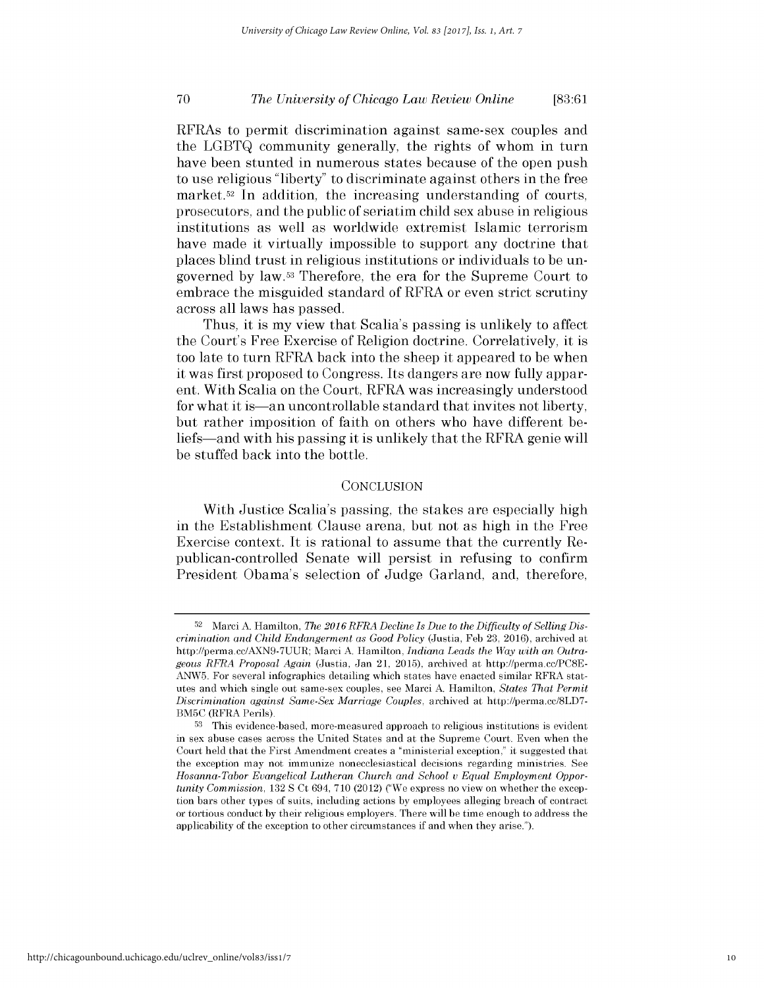# *The University of Chicago Law Review Online* **70 [83:61**

RFRAs to permit discrimination against same-sex couples and the **LGBTQ** community generally, the rights of whom in turn have been stunted in numerous states because of the open push to use religious "liberty" to discriminate against others in the free market.52 In addition, the increasing understanding of courts, prosecutors, and the public of seriatim child sex abuse in religious institutions as well as worldwide extremist Islamic terrorism have made it virtually impossible to support any doctrine that places blind trust in religious institutions or individuals to be ungoverned **by** law.53 Therefore, the era for the Supreme Court to embrace the misguided standard of RFRA or even strict scrutiny across all laws has passed.

Thus, it is my view that Scalia's passing is unlikely to affect the Court's Free Exercise of Religion doctrine. Correlatively, it **is** too late to turn RFRA back into the sheep it appeared to be when it was first proposed to Congress. Its dangers are now fully apparent. With Scalia on the Court, RFRA was increasingly understood for what it is—an uncontrollable standard that invites not liberty, but rather imposition of faith on others who have different beliefs-and with his passing it is unlikely that the RFRA genie will be stuffed back into the bottle.

#### **CONCLUSION**

With Justice Scalia's passing, the stakes are especially **high** in the Establishment Clause arena, but not as **high** in the Free Exercise context. It is rational to assume that the currently Republican-controlled Senate will persist in refusing to confirm President Obama's selection of Judge Garland, and, therefore,

**<sup>52</sup>** Marci **A.** Hamilton, *The 2016 RFRA Decline Is Due to the Difficulty of Selling Discrimination and Child Endangerment as Good Policy* (Justia, **Feb 23,** 2016), archived at http://perma.cc/AXN9-7UUR; Marci **A.** Hamilton, *Indiana Leads the Way with an Outrageous RFRA Proposal Again* (Justia, Jan 21, **2015),** archived at http://perma.cc/PC8E-**ANW5.** For several infographics detailing which states have enacted similar RFRA statutes and which single out same-sex couples, see Marci **A.** Hamilton, *States That Permit Discrimination against Same-Sex Marriage Couples,* archived at http://perma.cc/8LD7- BM5C (RFRA Perils).

**<sup>53</sup>**This evidence-based, more-measured approach to religious institutions is evident in sex abuse cases across the United States and at the Supreme Court. Even when the Court **held** that the First Amendment creates a "ministerial exception," it suggested that the exception may not immunize nonecclesiastical decisions regarding ministries. **See** *Hosanna-Tabor Evangelical Lutheran Church and School v Equal Employment Opportunity Commission,* **132 S** Ct 694, **710** (2012) ("We express no view on whether the exception bars other types of suits, including actions **by** employees alleging breach **of** contract or tortious conduct **by** their religious employers. There will **be** time enough to address the applicability of the exception to other circumstances if and when they arise.").